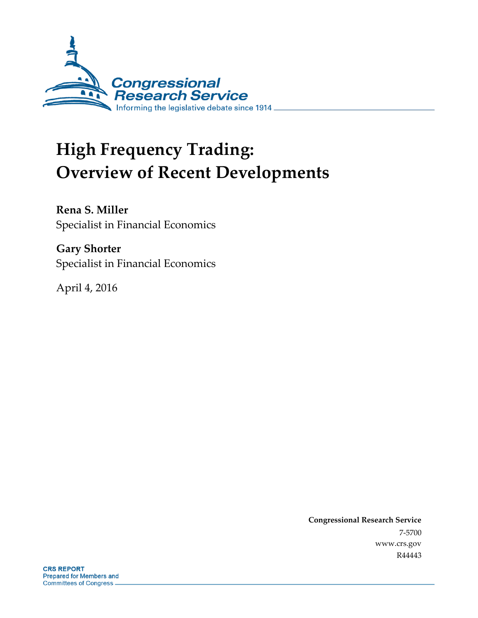

# **High Frequency Trading: Overview of Recent Developments**

**Rena S. Miller** Specialist in Financial Economics

**Gary Shorter** Specialist in Financial Economics

April 4, 2016

**Congressional Research Service** 7-5700 www.crs.gov R44443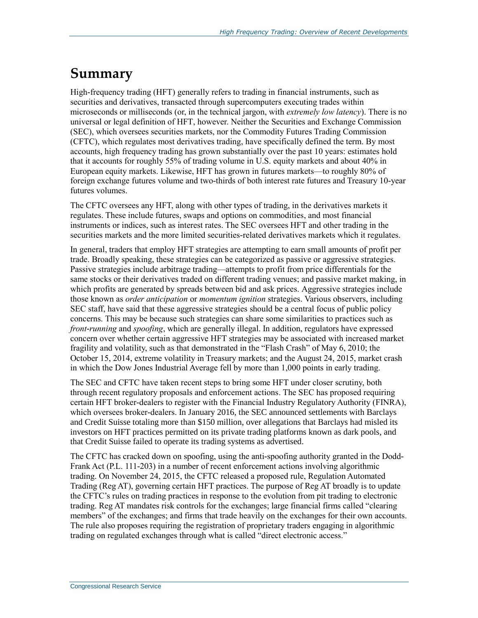### **Summary**

High-frequency trading (HFT) generally refers to trading in financial instruments, such as securities and derivatives, transacted through supercomputers executing trades within microseconds or milliseconds (or, in the technical jargon, with *extremely low latency*). There is no universal or legal definition of HFT, however. Neither the Securities and Exchange Commission (SEC), which oversees securities markets, nor the Commodity Futures Trading Commission (CFTC), which regulates most derivatives trading, have specifically defined the term. By most accounts, high frequency trading has grown substantially over the past 10 years: estimates hold that it accounts for roughly 55% of trading volume in U.S. equity markets and about 40% in European equity markets. Likewise, HFT has grown in futures markets—to roughly 80% of foreign exchange futures volume and two-thirds of both interest rate futures and Treasury 10-year futures volumes.

The CFTC oversees any HFT, along with other types of trading, in the derivatives markets it regulates. These include futures, swaps and options on commodities, and most financial instruments or indices, such as interest rates. The SEC oversees HFT and other trading in the securities markets and the more limited securities-related derivatives markets which it regulates.

In general, traders that employ HFT strategies are attempting to earn small amounts of profit per trade. Broadly speaking, these strategies can be categorized as passive or aggressive strategies. Passive strategies include arbitrage trading—attempts to profit from price differentials for the same stocks or their derivatives traded on different trading venues; and passive market making, in which profits are generated by spreads between bid and ask prices. Aggressive strategies include those known as *order anticipation* or *momentum ignition* strategies. Various observers, including SEC staff, have said that these aggressive strategies should be a central focus of public policy concerns. This may be because such strategies can share some similarities to practices such as *front-running* and *spoofing*, which are generally illegal. In addition, regulators have expressed concern over whether certain aggressive HFT strategies may be associated with increased market fragility and volatility, such as that demonstrated in the "Flash Crash" of May 6, 2010; the October 15, 2014, extreme volatility in Treasury markets; and the August 24, 2015, market crash in which the Dow Jones Industrial Average fell by more than 1,000 points in early trading.

The SEC and CFTC have taken recent steps to bring some HFT under closer scrutiny, both through recent regulatory proposals and enforcement actions. The SEC has proposed requiring certain HFT broker-dealers to register with the Financial Industry Regulatory Authority (FINRA), which oversees broker-dealers. In January 2016, the SEC announced settlements with Barclays and Credit Suisse totaling more than \$150 million, over allegations that Barclays had misled its investors on HFT practices permitted on its private trading platforms known as dark pools, and that Credit Suisse failed to operate its trading systems as advertised.

The CFTC has cracked down on spoofing, using the anti-spoofing authority granted in the Dodd-Frank Act (P.L. 111-203) in a number of recent enforcement actions involving algorithmic trading. On November 24, 2015, the CFTC released a proposed rule, Regulation Automated Trading (Reg AT), governing certain HFT practices. The purpose of Reg AT broadly is to update the CFTC's rules on trading practices in response to the evolution from pit trading to electronic trading. Reg AT mandates risk controls for the exchanges; large financial firms called "clearing members" of the exchanges; and firms that trade heavily on the exchanges for their own accounts. The rule also proposes requiring the registration of proprietary traders engaging in algorithmic trading on regulated exchanges through what is called "direct electronic access."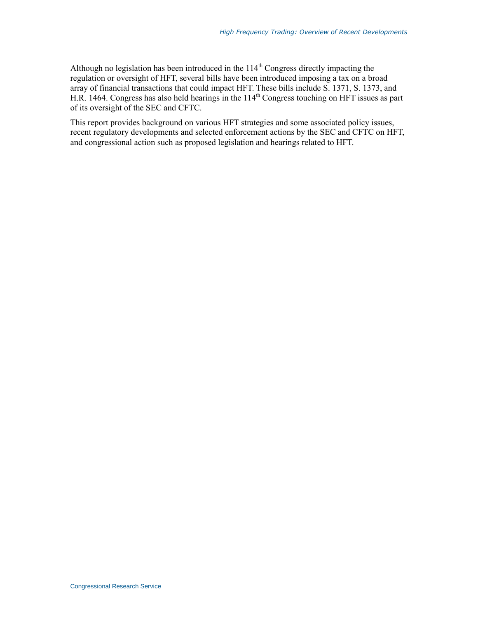Although no legislation has been introduced in the  $114<sup>th</sup>$  Congress directly impacting the regulation or oversight of HFT, several bills have been introduced imposing a tax on a broad array of financial transactions that could impact HFT. These bills include S. 1371, S. 1373, and H.R. 1464. Congress has also held hearings in the  $114<sup>th</sup>$  Congress touching on HFT issues as part of its oversight of the SEC and CFTC.

This report provides background on various HFT strategies and some associated policy issues, recent regulatory developments and selected enforcement actions by the SEC and CFTC on HFT, and congressional action such as proposed legislation and hearings related to HFT.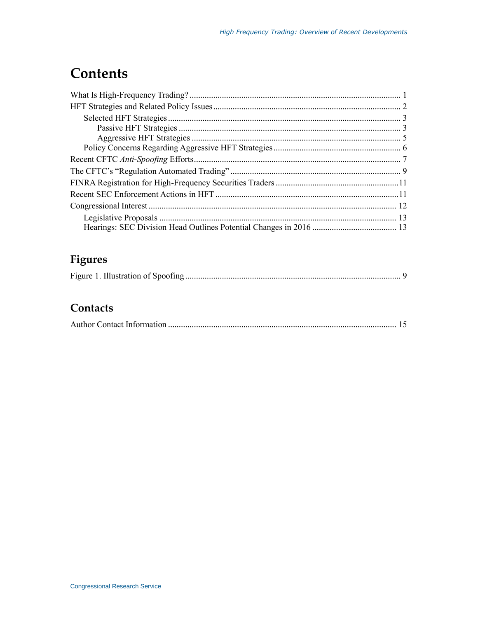### **Contents**

### **Figures**

|--|--|--|

### **Contacts**

|--|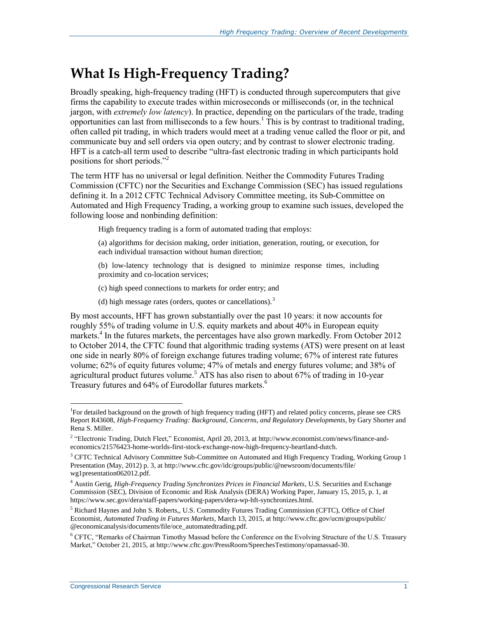### **What Is High-Frequency Trading?**

Broadly speaking, high-frequency trading (HFT) is conducted through supercomputers that give firms the capability to execute trades within microseconds or milliseconds (or, in the technical jargon, with *extremely low latency*). In practice, depending on the particulars of the trade, trading opportunities can last from milliseconds to a few hours. <sup>1</sup> This is by contrast to traditional trading, often called pit trading, in which traders would meet at a trading venue called the floor or pit, and communicate buy and sell orders via open outcry; and by contrast to slower electronic trading. HFT is a catch-all term used to describe "ultra-fast electronic trading in which participants hold positions for short periods."<sup>2</sup>

The term HTF has no universal or legal definition. Neither the Commodity Futures Trading Commission (CFTC) nor the Securities and Exchange Commission (SEC) has issued regulations defining it. In a 2012 CFTC Technical Advisory Committee meeting, its Sub-Committee on Automated and High Frequency Trading, a working group to examine such issues, developed the following loose and nonbinding definition:

High frequency trading is a form of automated trading that employs:

(a) algorithms for decision making, order initiation, generation, routing, or execution, for each individual transaction without human direction;

- (b) low-latency technology that is designed to minimize response times, including proximity and co-location services;
- (c) high speed connections to markets for order entry; and
- (d) high message rates (orders, quotes or cancellations).<sup>3</sup>

By most accounts, HFT has grown substantially over the past 10 years: it now accounts for roughly 55% of trading volume in U.S. equity markets and about 40% in European equity markets. 4 In the futures markets, the percentages have also grown markedly. From October 2012 to October 2014, the CFTC found that algorithmic trading systems (ATS) were present on at least one side in nearly 80% of foreign exchange futures trading volume; 67% of interest rate futures volume; 62% of equity futures volume; 47% of metals and energy futures volume; and 38% of agricultural product futures volume.<sup>5</sup> ATS has also risen to about  $67\%$  of trading in 10-year Treasury futures and 64% of Eurodollar futures markets.<sup>6</sup>

<sup>&</sup>lt;sup>1</sup>For detailed background on the growth of high frequency trading (HFT) and related policy concerns, please see CRS Report R43608, *High-Frequency Trading: Background, Concerns, and Regulatory Developments*, by Gary Shorter and Rena S. Miller.

<sup>&</sup>lt;sup>2</sup> "Electronic Trading, Dutch Fleet," Economist, April 20, 2013, at http://www.economist.com/news/finance-andeconomics/21576423-home-worlds-first-stock-exchange-now-high-frequency-heartland-dutch.

<sup>&</sup>lt;sup>3</sup> CFTC Technical Advisory Committee Sub-Committee on Automated and High Frequency Trading, Working Group 1 Presentation (May, 2012) p. 3, at http://www.cftc.gov/idc/groups/public/@newsroom/documents/file/ wg1presentation062012.pdf.

<sup>&</sup>lt;sup>4</sup> Austin Gerig, *High-Frequency Trading Synchronizes Prices in Financial Markets*, U.S. Securities and Exchange Commission (SEC), Division of Economic and Risk Analysis (DERA) Working Paper, January 15, 2015, p. 1, at https://www.sec.gov/dera/staff-papers/working-papers/dera-wp-hft-synchronizes.html.

<sup>5</sup> Richard Haynes and John S. Roberts,, U.S. Commodity Futures Trading Commission (CFTC), Office of Chief Economist, *Automated Trading in Futures Markets*, March 13, 2015, at http://www.cftc.gov/ucm/groups/public/ @economicanalysis/documents/file/oce\_automatedtrading.pdf.

<sup>6</sup> CFTC, "Remarks of Chairman Timothy Massad before the Conference on the Evolving Structure of the U.S. Treasury Market," October 21, 2015, at http://www.cftc.gov/PressRoom/SpeechesTestimony/opamassad-30.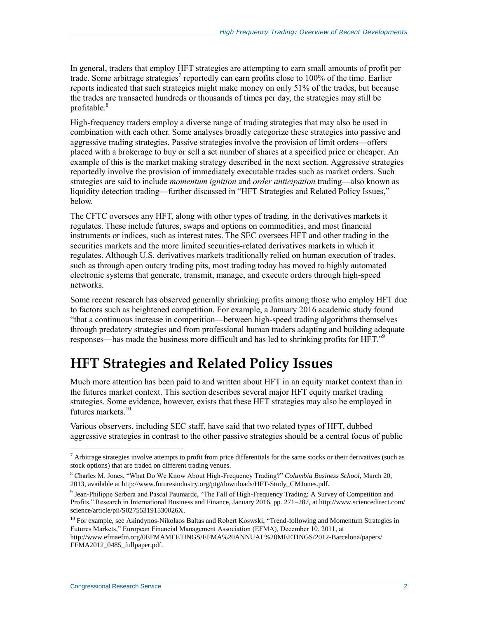In general, traders that employ HFT strategies are attempting to earn small amounts of profit per trade. Some arbitrage strategies<sup>7</sup> reportedly can earn profits close to 100% of the time. Earlier reports indicated that such strategies might make money on only 51% of the trades, but because the trades are transacted hundreds or thousands of times per day, the strategies may still be profitable.<sup>8</sup>

High-frequency traders employ a diverse range of trading strategies that may also be used in combination with each other. Some analyses broadly categorize these strategies into passive and aggressive trading strategies. Passive strategies involve the provision of limit orders—offers placed with a brokerage to buy or sell a set number of shares at a specified price or cheaper. An example of this is the market making strategy described in the next section. Aggressive strategies reportedly involve the provision of immediately executable trades such as market orders. Such strategies are said to include *momentum ignition* and *order anticipation* trading—also known as liquidity detection trading—further discussed in ["HFT Strategies and Related Policy Issues,](#page-5-0)" below.

The CFTC oversees any HFT, along with other types of trading, in the derivatives markets it regulates. These include futures, swaps and options on commodities, and most financial instruments or indices, such as interest rates. The SEC oversees HFT and other trading in the securities markets and the more limited securities-related derivatives markets in which it regulates. Although U.S. derivatives markets traditionally relied on human execution of trades, such as through open outcry trading pits, most trading today has moved to highly automated electronic systems that generate, transmit, manage, and execute orders through high-speed networks.

Some recent research has observed generally shrinking profits among those who employ HFT due to factors such as heightened competition. For example, a January 2016 academic study found "that a continuous increase in competition—between high-speed trading algorithms themselves through predatory strategies and from professional human traders adapting and building adequate responses—has made the business more difficult and has led to shrinking profits for HFT."<sup>9</sup>

### <span id="page-5-0"></span>**HFT Strategies and Related Policy Issues**

Much more attention has been paid to and written about HFT in an equity market context than in the futures market context. This section describes several major HFT equity market trading strategies. Some evidence, however, exists that these HFT strategies may also be employed in futures markets<sup>10</sup>

Various observers, including SEC staff, have said that two related types of HFT, dubbed aggressive strategies in contrast to the other passive strategies should be a central focus of public

 $\overline{a}$  $^7$  Arbitrage strategies involve attempts to profit from price differentials for the same stocks or their derivatives (such as stock options) that are traded on different trading venues.

<sup>8</sup> Charles M. Jones, "What Do We Know About High-Frequency Trading?" *Columbia Business School*, March 20, 2013, available at http://www.futuresindustry.org/ptg/downloads/HFT-Study\_CMJones.pdf.

<sup>9</sup> Jean-Philippe Serbera and Pascal Paumardc, "The Fall of High-Frequency Trading: A Survey of Competition and Profits," Research in International Business and Finance, January 2016, pp. 271–287, at http://www.sciencedirect.com/ science/article/pii/S027553191530026X.

<sup>&</sup>lt;sup>10</sup> For example, see Akindynos-Nikolaos Baltas and Robert Koswski, "Trend-following and Momentum Strategies in Futures Markets," European Financial Management Association (EFMA), December 10, 2011, at http://www.efmaefm.org/0EFMAMEETINGS/EFMA%20ANNUAL%20MEETINGS/2012-Barcelona/papers/ EFMA2012\_0485\_fullpaper.pdf.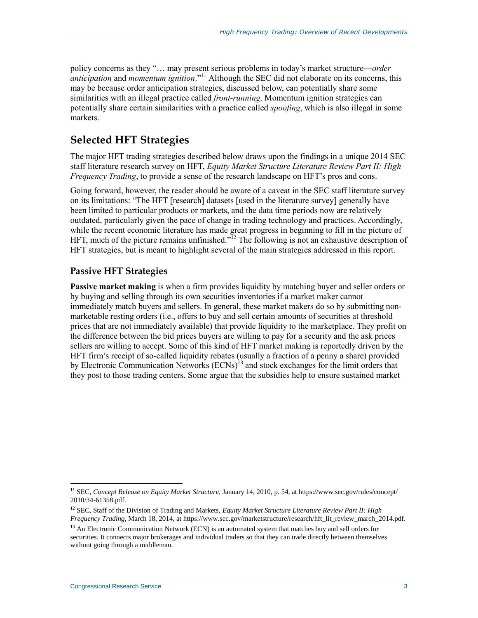policy concerns as they "… may present serious problems in today's market structure—*order anticipation* and *momentum ignition*."<sup>11</sup> Although the SEC did not elaborate on its concerns, this may be because order anticipation strategies, discussed below, can potentially share some similarities with an illegal practice called *front-running*. Momentum ignition strategies can potentially share certain similarities with a practice called *spoofing*, which is also illegal in some markets.

#### **Selected HFT Strategies**

The major HFT trading strategies described below draws upon the findings in a unique 2014 SEC staff literature research survey on HFT, *Equity Market Structure Literature Review Part II: High Frequency Trading*, to provide a sense of the research landscape on HFT's pros and cons.

Going forward, however, the reader should be aware of a caveat in the SEC staff literature survey on its limitations: "The HFT [research] datasets [used in the literature survey] generally have been limited to particular products or markets, and the data time periods now are relatively outdated, particularly given the pace of change in trading technology and practices. Accordingly, while the recent economic literature has made great progress in beginning to fill in the picture of HFT, much of the picture remains unfinished."<sup>12</sup> The following is not an exhaustive description of HFT strategies, but is meant to highlight several of the main strategies addressed in this report.

#### **Passive HFT Strategies**

**Passive market making** is when a firm provides liquidity by matching buyer and seller orders or by buying and selling through its own securities inventories if a market maker cannot immediately match buyers and sellers. In general, these market makers do so by submitting nonmarketable resting orders (i.e., offers to buy and sell certain amounts of securities at threshold prices that are not immediately available) that provide liquidity to the marketplace. They profit on the difference between the bid prices buyers are willing to pay for a security and the ask prices sellers are willing to accept. Some of this kind of HFT market making is reportedly driven by the HFT firm's receipt of so-called liquidity rebates (usually a fraction of a penny a share) provided by Electronic Communication Networks  $(ECNs)^{13}$  and stock exchanges for the limit orders that they post to those trading centers. Some argue that the subsidies help to ensure sustained market

<sup>11</sup> SEC, *Concept Release on Equity Market Structure*, January 14, 2010, p. 54, at https://www.sec.gov/rules/concept/ 2010/34-61358.pdf.

<sup>&</sup>lt;sup>12</sup> SEC, Staff of the Division of Trading and Markets, *Equity Market Structure Literature Review Part II: High Frequency Trading*, March 18, 2014, at https://www.sec.gov/marketstructure/research/hft\_lit\_review\_march\_2014.pdf.

<sup>&</sup>lt;sup>13</sup> An Electronic Communication Network (ECN) is an automated system that matches buy and sell orders for securities. It connects major brokerages and individual traders so that they can trade directly between themselves without going through a middleman.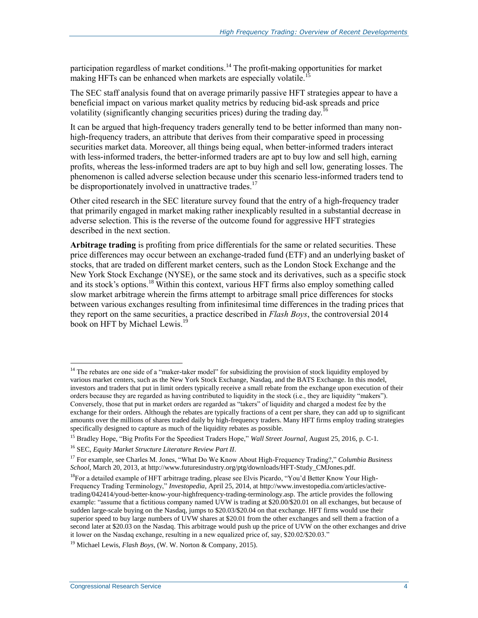participation regardless of market conditions.<sup>14</sup> The profit-making opportunities for market making HFTs can be enhanced when markets are especially volatile.<sup>1</sup>

The SEC staff analysis found that on average primarily passive HFT strategies appear to have a beneficial impact on various market quality metrics by reducing bid-ask spreads and price volatility (significantly changing securities prices) during the trading day.<sup>16</sup>

It can be argued that high-frequency traders generally tend to be better informed than many nonhigh-frequency traders, an attribute that derives from their comparative speed in processing securities market data. Moreover, all things being equal, when better-informed traders interact with less-informed traders, the better-informed traders are apt to buy low and sell high, earning profits, whereas the less-informed traders are apt to buy high and sell low, generating losses. The phenomenon is called adverse selection because under this scenario less-informed traders tend to be disproportionately involved in unattractive trades.<sup>17</sup>

Other cited research in the SEC literature survey found that the entry of a high-frequency trader that primarily engaged in market making rather inexplicably resulted in a substantial decrease in adverse selection. This is the reverse of the outcome found for aggressive HFT strategies described in the next section.

**Arbitrage trading** is profiting from price differentials for the same or related securities. These price differences may occur between an exchange-traded fund (ETF) and an underlying basket of stocks, that are traded on different market centers, such as the London Stock Exchange and the New York Stock Exchange (NYSE), or the same stock and its derivatives, such as a specific stock and its stock's options.<sup>18</sup> Within this context, various HFT firms also employ something called slow market arbitrage wherein the firms attempt to arbitrage small price differences for stocks between various exchanges resulting from infinitesimal time differences in the trading prices that they report on the same securities, a practice described in *Flash Boys*, the controversial 2014 book on HFT by Michael Lewis.<sup>19</sup>

 $14$  The rebates are one side of a "maker-taker model" for subsidizing the provision of stock liquidity employed by various market centers, such as the New York Stock Exchange, Nasdaq, and the BATS Exchange. In this model, investors and traders that put in limit orders typically receive a small rebate from the exchange upon execution of their orders because they are regarded as having contributed to liquidity in the stock (i.e., they are liquidity "makers"). Conversely, those that put in market orders are regarded as "takers" of liquidity and charged a modest fee by the exchange for their orders. Although the rebates are typically fractions of a cent per share, they can add up to significant amounts over the millions of shares traded daily by high-frequency traders. Many HFT firms employ trading strategies specifically designed to capture as much of the liquidity rebates as possible.

<sup>15</sup> Bradley Hope, "Big Profits For the Speediest Traders Hope," *Wall Street Journal*, August 25, 2016, p. C-1.

<sup>16</sup> SEC, *Equity Market Structure Literature Review Part II*.

<sup>17</sup> For example, see Charles M. Jones, "What Do We Know About High-Frequency Trading?," *Columbia Business School*, March 20, 2013, at http://www.futuresindustry.org/ptg/downloads/HFT-Study\_CMJones.pdf.

<sup>&</sup>lt;sup>18</sup>For a detailed example of HFT arbitrage trading, please see Elvis Picardo, "You'd Better Know Your High-Frequency Trading Terminology," *Investopedia*, April 25, 2014, at http://www.investopedia.com/articles/activetrading/042414/youd-better-know-your-highfrequency-trading-terminology.asp. The article provides the following example: "assume that a fictitious company named UVW is trading at \$20.00/\$20.01 on all exchanges, but because of sudden large-scale buying on the Nasdaq, jumps to \$20.03/\$20.04 on that exchange. HFT firms would use their superior speed to buy large numbers of UVW shares at \$20.01 from the other exchanges and sell them a fraction of a second later at \$20.03 on the Nasdaq. This arbitrage would push up the price of UVW on the other exchanges and drive it lower on the Nasdaq exchange, resulting in a new equalized price of, say, \$20.02/\$20.03."

<sup>19</sup> Michael Lewis, *Flash Boys*, (W. W. Norton & Company, 2015).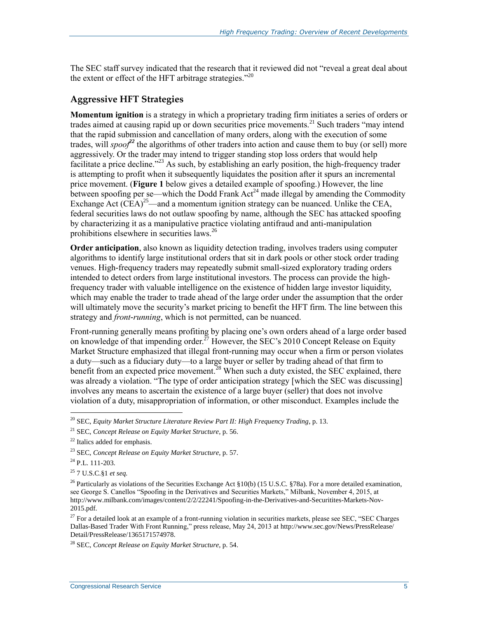The SEC staff survey indicated that the research that it reviewed did not "reveal a great deal about the extent or effect of the HFT arbitrage strategies."<sup>20</sup>

#### **Aggressive HFT Strategies**

**Momentum ignition** is a strategy in which a proprietary trading firm initiates a series of orders or trades aimed at causing rapid up or down securities price movements.<sup>21</sup> Such traders "may intend that the rapid submission and cancellation of many orders, along with the execution of some trades, will *spoof<sup>22</sup>* the algorithms of other traders into action and cause them to buy (or sell) more aggressively. Or the trader may intend to trigger standing stop loss orders that would help facilitate a price decline.<sup>223</sup> As such, by establishing an early position, the high-frequency trader is attempting to profit when it subsequently liquidates the position after it spurs an incremental price movement. (**[Figure 1](#page-12-0)** below gives a detailed example of spoofing.) However, the line between spoofing per se—which the Dodd Frank  $Act^{24}$  made illegal by amending the Commodity Exchange Act  $(\overrightarrow{CEA})^{25}$ —and a momentum ignition strategy can be nuanced. Unlike the CEA, federal securities laws do not outlaw spoofing by name, although the SEC has attacked spoofing by characterizing it as a manipulative practice violating antifraud and anti-manipulation prohibitions elsewhere in securities laws.<sup>26</sup>

**Order anticipation**, also known as liquidity detection trading, involves traders using computer algorithms to identify large institutional orders that sit in dark pools or other stock order trading venues. High-frequency traders may repeatedly submit small-sized exploratory trading orders intended to detect orders from large institutional investors. The process can provide the highfrequency trader with valuable intelligence on the existence of hidden large investor liquidity, which may enable the trader to trade ahead of the large order under the assumption that the order will ultimately move the security's market pricing to benefit the HFT firm. The line between this strategy and *front-running*, which is not permitted, can be nuanced.

Front-running generally means profiting by placing one's own orders ahead of a large order based on knowledge of that impending order.<sup> $27$ </sup> However, the SEC's 2010 Concept Release on Equity Market Structure emphasized that illegal front-running may occur when a firm or person violates a duty—such as a fiduciary duty—to a large buyer or seller by trading ahead of that firm to benefit from an expected price movement.<sup>28</sup> When such a duty existed, the SEC explained, there was already a violation. "The type of order anticipation strategy [which the SEC was discussing] involves any means to ascertain the existence of a large buyer (seller) that does not involve violation of a duty, misappropriation of information, or other misconduct. Examples include the

<sup>20</sup> SEC, *Equity Market Structure Literature Review Part II: High Frequency Trading*, p. 13.

<sup>21</sup> SEC, *Concept Release on Equity Market Structure*, p. 56.

<sup>22</sup> Italics added for emphasis.

<sup>23</sup> SEC, *Concept Release on Equity Market Structure*, p. 57.

 $^{24}$  P.L. 111-203.

<sup>25</sup> 7 U.S.C.§1 *et seq.*

<sup>&</sup>lt;sup>26</sup> Particularly as violations of the Securities Exchange Act  $\S10(b)$  (15 U.S.C.  $\S78a$ ). For a more detailed examination, see George S. Canellos "Spoofing in the Derivatives and Securities Markets," Milbank, November 4, 2015, at http://www.milbank.com/images/content/2/2/22241/Spoofing-in-the-Derivatives-and-Securitites-Markets-Nov-2015.pdf.

 $27$  For a detailed look at an example of a front-running violation in securities markets, please see SEC, "SEC Charges Dallas-Based Trader With Front Running," press release, May 24, 2013 at http://www.sec.gov/News/PressRelease/ Detail/PressRelease/1365171574978.

<sup>28</sup> SEC, *Concept Release on Equity Market Structure*, p. 54.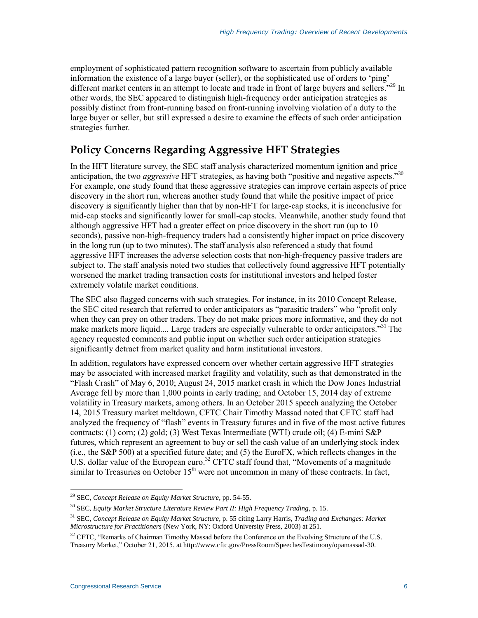employment of sophisticated pattern recognition software to ascertain from publicly available information the existence of a large buyer (seller), or the sophisticated use of orders to 'ping' different market centers in an attempt to locate and trade in front of large buyers and sellers."<sup>29</sup> In other words, the SEC appeared to distinguish high-frequency order anticipation strategies as possibly distinct from front-running based on front-running involving violation of a duty to the large buyer or seller, but still expressed a desire to examine the effects of such order anticipation strategies further.

### **Policy Concerns Regarding Aggressive HFT Strategies**

In the HFT literature survey, the SEC staff analysis characterized momentum ignition and price anticipation, the two *aggressive* HFT strategies, as having both "positive and negative aspects."<sup>30</sup> For example, one study found that these aggressive strategies can improve certain aspects of price discovery in the short run, whereas another study found that while the positive impact of price discovery is significantly higher than that by non-HFT for large-cap stocks, it is inconclusive for mid-cap stocks and significantly lower for small-cap stocks. Meanwhile, another study found that although aggressive HFT had a greater effect on price discovery in the short run (up to 10 seconds), passive non-high-frequency traders had a consistently higher impact on price discovery in the long run (up to two minutes). The staff analysis also referenced a study that found aggressive HFT increases the adverse selection costs that non-high-frequency passive traders are subject to. The staff analysis noted two studies that collectively found aggressive HFT potentially worsened the market trading transaction costs for institutional investors and helped foster extremely volatile market conditions.

The SEC also flagged concerns with such strategies. For instance, in its 2010 Concept Release, the SEC cited research that referred to order anticipators as "parasitic traders" who "profit only when they can prey on other traders. They do not make prices more informative, and they do not make markets more liquid.... Large traders are especially vulnerable to order anticipators."<sup>31</sup> The agency requested comments and public input on whether such order anticipation strategies significantly detract from market quality and harm institutional investors.

In addition, regulators have expressed concern over whether certain aggressive HFT strategies may be associated with increased market fragility and volatility, such as that demonstrated in the "Flash Crash" of May 6, 2010; August 24, 2015 market crash in which the Dow Jones Industrial Average fell by more than 1,000 points in early trading; and October 15, 2014 day of extreme volatility in Treasury markets, among others. In an October 2015 speech analyzing the October 14, 2015 Treasury market meltdown, CFTC Chair Timothy Massad noted that CFTC staff had analyzed the frequency of "flash" events in Treasury futures and in five of the most active futures contracts: (1) corn; (2) gold; (3) West Texas Intermediate (WTI) crude oil; (4) E-mini S&P futures, which represent an agreement to buy or sell the cash value of an underlying stock index (i.e., the S&P 500) at a specified future date; and (5) the EuroFX, which reflects changes in the U.S. dollar value of the European euro.<sup>32</sup> CFTC staff found that, "Movements of a magnitude similar to Treasuries on October  $15<sup>th</sup>$  were not uncommon in many of these contracts. In fact,

<sup>29</sup> SEC, *Concept Release on Equity Market Structure*, pp. 54-55.

<sup>30</sup> SEC, *Equity Market Structure Literature Review Part II: High Frequency Trading*, p. 15.

<sup>31</sup> SEC, *Concept Release on Equity Market Structure*, p. 55 citing Larry Harris, *Trading and Exchanges: Market Microstructure for Practitioners* (New York, NY: Oxford University Press, 2003) at 251.

 $32$  CFTC, "Remarks of Chairman Timothy Massad before the Conference on the Evolving Structure of the U.S. Treasury Market," October 21, 2015, at http://www.cftc.gov/PressRoom/SpeechesTestimony/opamassad-30.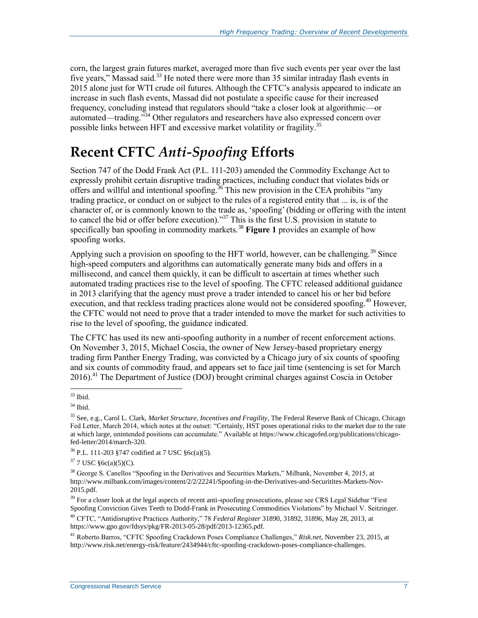corn, the largest grain futures market, averaged more than five such events per year over the last five years," Massad said.<sup>33</sup> He noted there were more than 35 similar intraday flash events in 2015 alone just for WTI crude oil futures. Although the CFTC's analysis appeared to indicate an increase in such flash events, Massad did not postulate a specific cause for their increased frequency, concluding instead that regulators should "take a closer look at algorithmic—or automated—trading.<sup>734</sup> Other regulators and researchers have also expressed concern over possible links between HFT and excessive market volatility or fragility.<sup>35</sup>

## **Recent CFTC** *Anti-Spoofing* **Efforts**

Section 747 of the Dodd Frank Act (P.L. 111-203) amended the Commodity Exchange Act to expressly prohibit certain disruptive trading practices, including conduct that violates bids or offers and willful and intentional spoofing.<sup>36</sup> This new provision in the CEA prohibits "any trading practice, or conduct on or subject to the rules of a registered entity that ... is, is of the character of, or is commonly known to the trade as, 'spoofing' (bidding or offering with the intent to cancel the bid or offer before execution)."<sup>37</sup> This is the first U.S. provision in statute to specifically ban spoofing in commodity markets.<sup>38</sup> **[Figure 1](#page-12-0)** provides an example of how spoofing works.

Applying such a provision on spoofing to the HFT world, however, can be challenging.<sup>39</sup> Since high-speed computers and algorithms can automatically generate many bids and offers in a millisecond, and cancel them quickly, it can be difficult to ascertain at times whether such automated trading practices rise to the level of spoofing. The CFTC released additional guidance in 2013 clarifying that the agency must prove a trader intended to cancel his or her bid before execution, and that reckless trading practices alone would not be considered spoofing.<sup>40</sup> However, the CFTC would not need to prove that a trader intended to move the market for such activities to rise to the level of spoofing, the guidance indicated.

The CFTC has used its new anti-spoofing authority in a number of recent enforcement actions. On November 3, 2015, Michael Coscia, the owner of New Jersey-based proprietary energy trading firm Panther Energy Trading, was convicted by a Chicago jury of six counts of spoofing and six counts of commodity fraud, and appears set to face jail time (sentencing is set for March 2016).<sup>41</sup> The Department of Justice (DOJ) brought criminal charges against Coscia in October

 $\overline{a}$  $33$  Ibid.

 $34$  Ibid.

<sup>35</sup> See, e.g., Carol L. Clark, *Market Structure, Incentives and Fragility*, The Federal Reserve Bank of Chicago, Chicago Fed Letter, March 2014, which notes at the outset: "Certainly, HST poses operational risks to the market due to the rate at which large, unintended positions can accumulate." Available at https://www.chicagofed.org/publications/chicagofed-letter/2014/march-320.

<sup>36</sup> P.L. 111-203 §747 codified at 7 USC §6c(a)(5).

 $37$  7 USC  $§6c(a)(5)(C)$ .

<sup>&</sup>lt;sup>38</sup> George S. Canellos "Spoofing in the Derivatives and Securities Markets," Milbank, November 4, 2015, at http://www.milbank.com/images/content/2/2/22241/Spoofing-in-the-Derivatives-and-Securitites-Markets-Nov-2015.pdf.

 $39$  For a closer look at the legal aspects of recent anti-spoofing prosecutions, please see CRS Legal Sidebar "First" Spoofing Conviction Gives Teeth to Dodd-Frank in Prosecuting Commodities Violations" by Michael V. Seitzinger.

<sup>40</sup> CFTC, "Antidisruptive Practices Authority," 78 *Federal Register* 31890, 31892, 31896, May 28, 2013, at https://www.gpo.gov/fdsys/pkg/FR-2013-05-28/pdf/2013-12365.pdf.

<sup>41</sup> Roberto Barros, "CFTC Spoofing Crackdown Poses Compliance Challenges," *Risk.net*, November 23, 2015, at http://www.risk.net/energy-risk/feature/2434944/cftc-spoofing-crackdown-poses-compliance-challenges.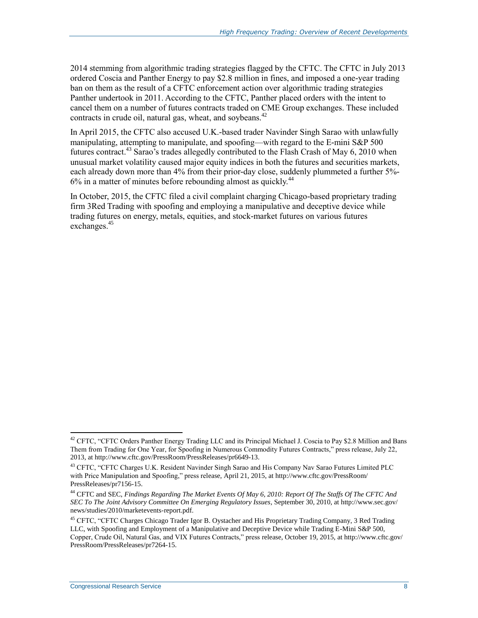2014 stemming from algorithmic trading strategies flagged by the CFTC. The CFTC in July 2013 ordered Coscia and Panther Energy to pay \$2.8 million in fines, and imposed a one-year trading ban on them as the result of a CFTC enforcement action over algorithmic trading strategies Panther undertook in 2011. According to the CFTC, Panther placed orders with the intent to cancel them on a number of futures contracts traded on CME Group exchanges. These included contracts in crude oil, natural gas, wheat, and sovbeans.  $42$ 

In April 2015, the CFTC also accused U.K.-based trader Navinder Singh Sarao with unlawfully manipulating, attempting to manipulate, and spoofing—with regard to the E-mini S&P 500 futures contract.<sup>43</sup> Sarao's trades allegedly contributed to the Flash Crash of May 6, 2010 when unusual market volatility caused major equity indices in both the futures and securities markets, each already down more than 4% from their prior-day close, suddenly plummeted a further 5%-6% in a matter of minutes before rebounding almost as quickly.<sup>44</sup>

In October, 2015, the CFTC filed a civil complaint charging Chicago-based proprietary trading firm 3Red Trading with spoofing and employing a manipulative and deceptive device while trading futures on energy, metals, equities, and stock-market futures on various futures exchanges.<sup>45</sup>

<sup>&</sup>lt;sup>42</sup> CFTC, "CFTC Orders Panther Energy Trading LLC and its Principal Michael J. Coscia to Pay \$2.8 Million and Bans Them from Trading for One Year, for Spoofing in Numerous Commodity Futures Contracts," press release, July 22, 2013, at http://www.cftc.gov/PressRoom/PressReleases/pr6649-13.

<sup>43</sup> CFTC, "CFTC Charges U.K. Resident Navinder Singh Sarao and His Company Nav Sarao Futures Limited PLC with Price Manipulation and Spoofing," press release, April 21, 2015, at http://www.cftc.gov/PressRoom/ PressReleases/pr7156-15.

<sup>44</sup> CFTC and SEC, *Findings Regarding The Market Events Of May 6, 2010: Report Of The Staffs Of The CFTC And SEC To The Joint Advisory Committee On Emerging Regulatory Issues*, September 30, 2010, at http://www.sec.gov/ news/studies/2010/marketevents-report.pdf.

<sup>&</sup>lt;sup>45</sup> CFTC, "CFTC Charges Chicago Trader Igor B. Oystacher and His Proprietary Trading Company, 3 Red Trading LLC, with Spoofing and Employment of a Manipulative and Deceptive Device while Trading E-Mini S&P 500, Copper, Crude Oil, Natural Gas, and VIX Futures Contracts," press release, October 19, 2015, at http://www.cftc.gov/ PressRoom/PressReleases/pr7264-15.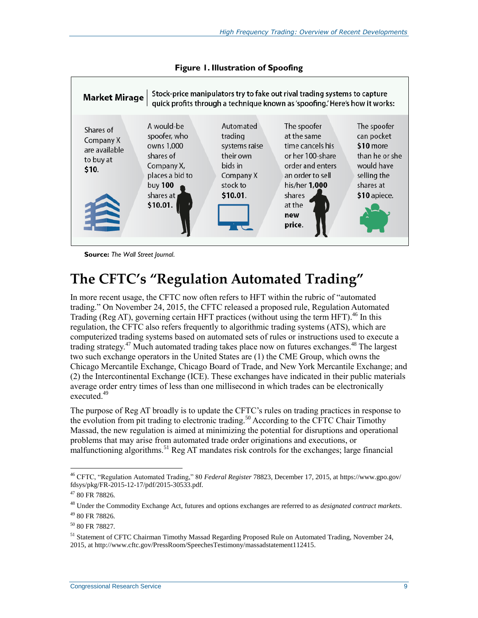<span id="page-12-0"></span>

**Figure 1. Illustration of Spoofing**

**Source:** *The Wall Street Journal*.

### **The CFTC's "Regulation Automated Trading"**

In more recent usage, the CFTC now often refers to HFT within the rubric of "automated trading." On November 24, 2015, the CFTC released a proposed rule, Regulation Automated Trading (Reg AT), governing certain HFT practices (without using the term HFT).<sup>46</sup> In this regulation, the CFTC also refers frequently to algorithmic trading systems (ATS), which are computerized trading systems based on automated sets of rules or instructions used to execute a trading strategy.<sup>47</sup> Much automated trading takes place now on futures exchanges.<sup>48</sup> The largest two such exchange operators in the United States are (1) the CME Group, which owns the Chicago Mercantile Exchange, Chicago Board of Trade, and New York Mercantile Exchange; and (2) the Intercontinental Exchange (ICE). These exchanges have indicated in their public materials average order entry times of less than one millisecond in which trades can be electronically executed.<sup>49</sup>

The purpose of Reg AT broadly is to update the CFTC's rules on trading practices in response to the evolution from pit trading to electronic trading.<sup>50</sup> According to the CFTC Chair Timothy Massad, the new regulation is aimed at minimizing the potential for disruptions and operational problems that may arise from automated trade order originations and executions, or malfunctioning algorithms.<sup>51</sup> Reg AT mandates risk controls for the exchanges; large financial

<sup>46</sup> CFTC, "Regulation Automated Trading," 80 *Federal Register* 78823, December 17, 2015, at https://www.gpo.gov/ fdsys/pkg/FR-2015-12-17/pdf/2015-30533.pdf.

 $4780$  FR 78826.

<sup>48</sup> Under the Commodity Exchange Act, futures and options exchanges are referred to as *designated contract markets*. <sup>49</sup> 80 FR 78826.

<sup>50</sup> 80 FR 78827.

<sup>51</sup> Statement of CFTC Chairman Timothy Massad Regarding Proposed Rule on Automated Trading, November 24, 2015, at http://www.cftc.gov/PressRoom/SpeechesTestimony/massadstatement112415.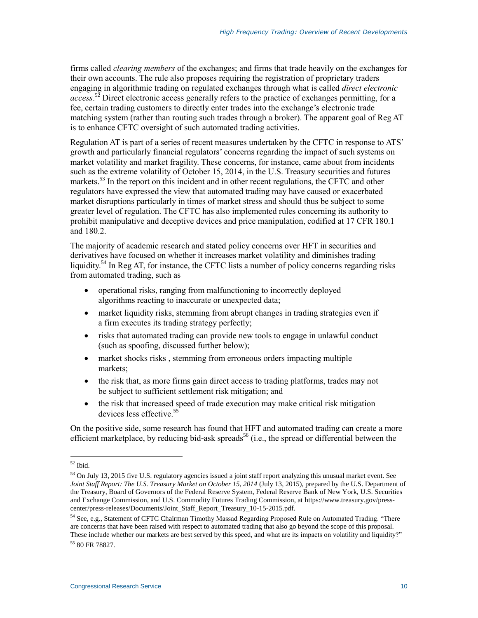firms called *clearing members* of the exchanges; and firms that trade heavily on the exchanges for their own accounts. The rule also proposes requiring the registration of proprietary traders engaging in algorithmic trading on regulated exchanges through what is called *direct electronic*  access.<sup>52</sup> Direct electronic access generally refers to the practice of exchanges permitting, for a fee, certain trading customers to directly enter trades into the exchange's electronic trade matching system (rather than routing such trades through a broker). The apparent goal of Reg AT is to enhance CFTC oversight of such automated trading activities.

Regulation AT is part of a series of recent measures undertaken by the CFTC in response to ATS' growth and particularly financial regulators' concerns regarding the impact of such systems on market volatility and market fragility. These concerns, for instance, came about from incidents such as the extreme volatility of October 15, 2014, in the U.S. Treasury securities and futures markets.<sup>53</sup> In the report on this incident and in other recent regulations, the CFTC and other regulators have expressed the view that automated trading may have caused or exacerbated market disruptions particularly in times of market stress and should thus be subject to some greater level of regulation. The CFTC has also implemented rules concerning its authority to prohibit manipulative and deceptive devices and price manipulation, codified at 17 CFR 180.1 and 180.2.

The majority of academic research and stated policy concerns over HFT in securities and derivatives have focused on whether it increases market volatility and diminishes trading liquidity.<sup>54</sup> In Reg AT, for instance, the CFTC lists a number of policy concerns regarding risks from automated trading, such as

- operational risks, ranging from malfunctioning to incorrectly deployed algorithms reacting to inaccurate or unexpected data;
- market liquidity risks, stemming from abrupt changes in trading strategies even if a firm executes its trading strategy perfectly;
- risks that automated trading can provide new tools to engage in unlawful conduct (such as spoofing, discussed further below);
- market shocks risks , stemming from erroneous orders impacting multiple markets;
- the risk that, as more firms gain direct access to trading platforms, trades may not be subject to sufficient settlement risk mitigation; and
- the risk that increased speed of trade execution may make critical risk mitigation devices less effective<sup>55</sup>

On the positive side, some research has found that HFT and automated trading can create a more efficient marketplace, by reducing bid-ask spreads<sup>56</sup> (i.e., the spread or differential between the

 $\overline{a}$ <sup>52</sup> Ibid.

 $53$  On July 13, 2015 five U.S. regulatory agencies issued a joint staff report analyzing this unusual market event. See *Joint Staff Report: The U.S. Treasury Market on October 15, 2014* (July 13, 2015), prepared by the U.S. Department of the Treasury, Board of Governors of the Federal Reserve System, Federal Reserve Bank of New York, U.S. Securities and Exchange Commission, and U.S. Commodity Futures Trading Commission, at https://www.treasury.gov/presscenter/press-releases/Documents/Joint\_Staff\_Report\_Treasury\_10-15-2015.pdf.

<sup>&</sup>lt;sup>54</sup> See, e.g., Statement of CFTC Chairman Timothy Massad Regarding Proposed Rule on Automated Trading. "There are concerns that have been raised with respect to automated trading that also go beyond the scope of this proposal. These include whether our markets are best served by this speed, and what are its impacts on volatility and liquidity?" <sup>55</sup> 80 FR 78827.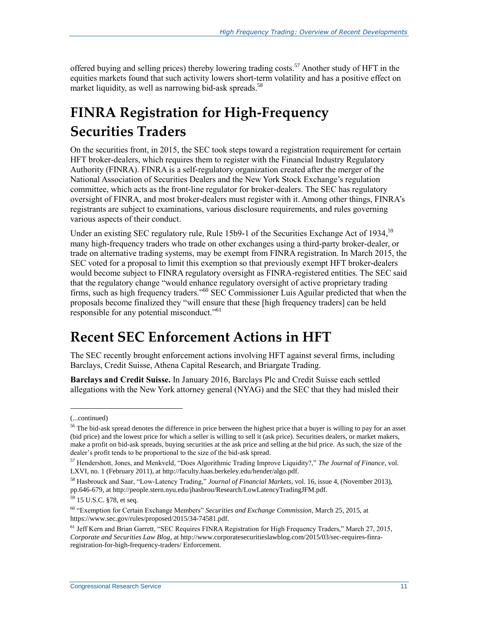offered buying and selling prices) thereby lowering trading costs.<sup>57</sup> Another study of HFT in the equities markets found that such activity lowers short-term volatility and has a positive effect on market liquidity, as well as narrowing bid-ask spreads.<sup>58</sup>

# **FINRA Registration for High-Frequency Securities Traders**

On the securities front, in 2015, the SEC took steps toward a registration requirement for certain HFT broker-dealers, which requires them to register with the Financial Industry Regulatory Authority (FINRA). FINRA is a self-regulatory organization created after the merger of the National Association of Securities Dealers and the New York Stock Exchange's regulation committee, which acts as the front-line regulator for broker-dealers. The SEC has regulatory oversight of FINRA, and most broker-dealers must register with it. Among other things, FINRA's registrants are subject to examinations, various disclosure requirements, and rules governing various aspects of their conduct.

Under an existing SEC regulatory rule, Rule 15b9-1 of the Securities Exchange Act of 1934,<sup>59</sup> many high-frequency traders who trade on other exchanges using a third-party broker-dealer, or trade on alternative trading systems, may be exempt from FINRA registration. In March 2015, the SEC voted for a proposal to limit this exemption so that previously exempt HFT broker-dealers would become subject to FINRA regulatory oversight as FINRA-registered entities. The SEC said that the regulatory change "would enhance regulatory oversight of active proprietary trading firms, such as high frequency traders."<sup>60</sup> SEC Commissioner Luis Aguilar predicted that when the proposals become finalized they "will ensure that these [high frequency traders] can be held responsible for any potential misconduct."<sup>61</sup>

### **Recent SEC Enforcement Actions in HFT**

The SEC recently brought enforcement actions involving HFT against several firms, including Barclays, Credit Suisse, Athena Capital Research, and Briargate Trading.

**Barclays and Credit Suisse.** In January 2016, Barclays Plc and Credit Suisse each settled allegations with the New York attorney general (NYAG) and the SEC that they had misled their

<sup>(...</sup>continued)

<sup>&</sup>lt;sup>56</sup> The bid-ask spread denotes the difference in price between the highest price that a buyer is willing to pay for an asset (bid price) and the lowest price for which a seller is willing to sell it (ask price). Securities dealers, or market makers, make a profit on bid-ask spreads, buying securities at the ask price and selling at the bid price. As such, the size of the dealer's profit tends to be proportional to the size of the bid-ask spread.

<sup>57</sup> Hendershott, Jones, and Menkveld, "Does Algorithmic Trading Improve Liquidity?," *The Journal of Finance*, vol. LXVI, no. 1 (February 2011), at http://faculty.haas.berkeley.edu/hender/algo.pdf.

<sup>58</sup> Hasbrouck and Saar, "Low-Latency Trading," *Journal of Financial Markets*, vol. 16, issue 4, (November 2013), pp.646-679, at http://people.stern.nyu.edu/jhasbrou/Research/LowLatencyTradingJFM.pdf.

<sup>59</sup> 15 U.S.C. §78, et seq.

<sup>60</sup> "Exemption for Certain Exchange Members" *Securities and Exchange Commission,* March 25, 2015, at https://www.sec.gov/rules/proposed/2015/34-74581.pdf.

<sup>&</sup>lt;sup>61</sup> Jeff Kern and Brian Garrett, "SEC Requires FINRA Registration for High Frequency Traders," March 27, 2015, *Corporate and Securities Law Blog*, at http://www.corporatesecuritieslawblog.com/2015/03/sec-requires-finraregistration-for-high-frequency-traders/ Enforcement.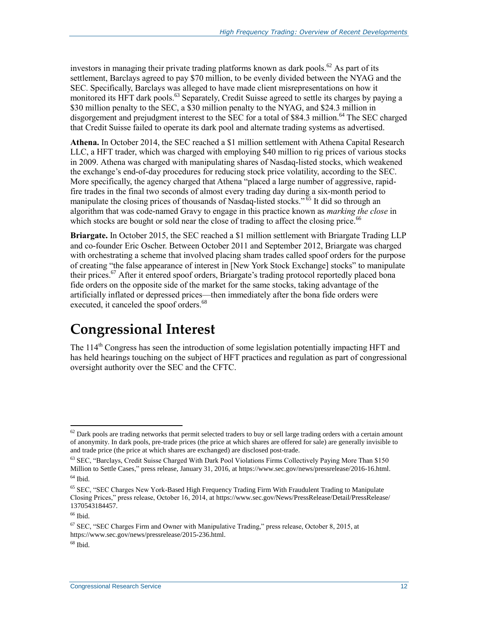investors in managing their private trading platforms known as dark pools.<sup>62</sup> As part of its settlement, Barclays agreed to pay \$70 million, to be evenly divided between the NYAG and the SEC. Specifically, Barclays was alleged to have made client misrepresentations on how it monitored its HFT dark pools.<sup>63</sup> Separately, Credit Suisse agreed to settle its charges by paying a \$30 million penalty to the SEC, a \$30 million penalty to the NYAG, and \$24.3 million in disgorgement and prejudgment interest to the SEC for a total of \$84.3 million.<sup>64</sup> The SEC charged that Credit Suisse failed to operate its dark pool and alternate trading systems as advertised.

**Athena.** In October 2014, the SEC reached a \$1 million settlement with Athena Capital Research LLC, a HFT trader, which was charged with employing \$40 million to rig prices of various stocks in 2009. Athena was charged with manipulating shares of Nasdaq-listed stocks, which weakened the exchange's end-of-day procedures for reducing stock price volatility, according to the SEC. More specifically, the agency charged that Athena "placed a large number of aggressive, rapidfire trades in the final two seconds of almost every trading day during a six-month period to manipulate the closing prices of thousands of Nasdaq-listed stocks."<sup>65</sup> It did so through an algorithm that was code-named Gravy to engage in this practice known as *marking the close* in which stocks are bought or sold near the close of trading to affect the closing price.<sup>66</sup>

**Briargate.** In October 2015, the SEC reached a \$1 million settlement with Briargate Trading LLP and co-founder Eric Oscher. Between October 2011 and September 2012, Briargate was charged with orchestrating a scheme that involved placing sham trades called spoof orders for the purpose of creating "the false appearance of interest in [New York Stock Exchange] stocks" to manipulate their prices.<sup>67</sup> After it entered spoof orders, Briargate's trading protocol reportedly placed bona fide orders on the opposite side of the market for the same stocks, taking advantage of the artificially inflated or depressed prices—then immediately after the bona fide orders were executed, it canceled the spoof orders.<sup>68</sup>

### **Congressional Interest**

The  $114<sup>th</sup>$  Congress has seen the introduction of some legislation potentially impacting HFT and has held hearings touching on the subject of HFT practices and regulation as part of congressional oversight authority over the SEC and the CFTC.

 $62$  Dark pools are trading networks that permit selected traders to buy or sell large trading orders with a certain amount of anonymity. In dark pools, pre-trade prices (the price at which shares are offered for sale) are generally invisible to and trade price (the price at which shares are exchanged) are disclosed post-trade.

<sup>&</sup>lt;sup>63</sup> SEC, "Barclays, Credit Suisse Charged With Dark Pool Violations Firms Collectively Paying More Than \$150 Million to Settle Cases," press release, January 31, 2016, at https://www.sec.gov/news/pressrelease/2016-16.html.  $64$  Ibid.

<sup>65</sup> SEC, "SEC Charges New York-Based High Frequency Trading Firm With Fraudulent Trading to Manipulate Closing Prices," press release, October 16, 2014, at https://www.sec.gov/News/PressRelease/Detail/PressRelease/ 1370543184457.

<sup>&</sup>lt;sup>66</sup> Ibid.

 $67$  SEC, "SEC Charges Firm and Owner with Manipulative Trading," press release, October 8, 2015, at https://www.sec.gov/news/pressrelease/2015-236.html.

 $68$  Ibid.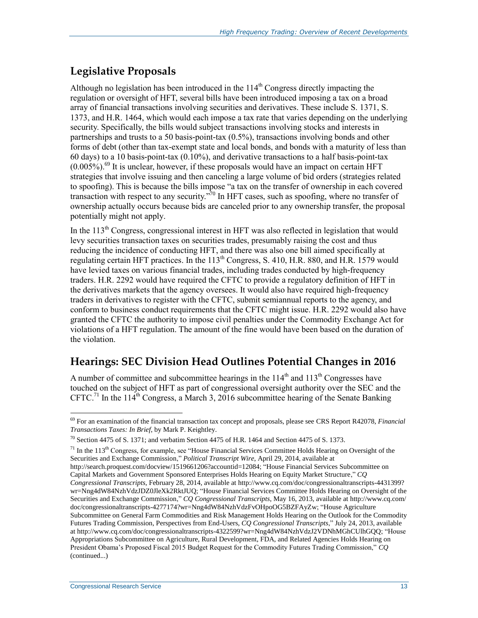### **Legislative Proposals**

Although no legislation has been introduced in the  $114<sup>th</sup>$  Congress directly impacting the regulation or oversight of HFT, several bills have been introduced imposing a tax on a broad array of financial transactions involving securities and derivatives. These include S. 1371, S. 1373, and H.R. 1464, which would each impose a tax rate that varies depending on the underlying security. Specifically, the bills would subject transactions involving stocks and interests in partnerships and trusts to a 50 basis-point-tax (0.5%), transactions involving bonds and other forms of debt (other than tax-exempt state and local bonds, and bonds with a maturity of less than 60 days) to a 10 basis-point-tax (0.10%), and derivative transactions to a half basis-point-tax  $(0.005\%)$ .<sup>69</sup> It is unclear, however, if these proposals would have an impact on certain HFT strategies that involve issuing and then canceling a large volume of bid orders (strategies related to spoofing). This is because the bills impose "a tax on the transfer of ownership in each covered transaction with respect to any security."<sup>70</sup> In HFT cases, such as spoofing, where no transfer of ownership actually occurs because bids are canceled prior to any ownership transfer, the proposal potentially might not apply.

In the 113<sup>th</sup> Congress, congressional interest in HFT was also reflected in legislation that would levy securities transaction taxes on securities trades, presumably raising the cost and thus reducing the incidence of conducting HFT, and there was also one bill aimed specifically at regulating certain HFT practices. In the  $113<sup>th</sup>$  Congress, S. 410, H.R. 880, and H.R. 1579 would have levied taxes on various financial trades, including trades conducted by high-frequency traders. H.R. 2292 would have required the CFTC to provide a regulatory definition of HFT in the derivatives markets that the agency oversees. It would also have required high-frequency traders in derivatives to register with the CFTC, submit semiannual reports to the agency, and conform to business conduct requirements that the CFTC might issue. H.R. 2292 would also have granted the CFTC the authority to impose civil penalties under the Commodity Exchange Act for violations of a HFT regulation. The amount of the fine would have been based on the duration of the violation.

#### **Hearings: SEC Division Head Outlines Potential Changes in 2016**

A number of committee and subcommittee hearings in the  $114<sup>th</sup>$  and  $113<sup>th</sup>$  Congresses have touched on the subject of HFT as part of congressional oversight authority over the SEC and the CFTC.<sup>71</sup> In the 114<sup>th</sup> Congress, a March 3, 2016 subcommittee hearing of the Senate Banking

 $71$  In the 113<sup>th</sup> Congress, for example, see "House Financial Services Committee Holds Hearing on Oversight of the Securities and Exchange Commission," *Political Transcript Wire*, April 29, 2014, available at http://search.proquest.com/docview/1519661206?accountid=12084; "House Financial Services Subcommittee on Capital Markets and Government Sponsored Enterprises Holds Hearing on Equity Market Structure," *CQ Congressional Transcripts*, February 28, 2014, available at http://www.cq.com/doc/congressionaltranscripts-4431399? wr=Nng4dW84NzhVdzJDZ0JleXk2RktJUQ; "House Financial Services Committee Holds Hearing on Oversight of the Securities and Exchange Commission," *CQ Congressional Transcripts*, May 16, 2013, available at http://www.cq.com/ doc/congressionaltranscripts-4277174?wr=Nng4dW84NzhVdzFvOHpoOG5BZFAyZw; "House Agriculture Subcommittee on General Farm Commodities and Risk Management Holds Hearing on the Outlook for the Commodity Futures Trading Commission, Perspectives from End-Users, *CQ Congressional Transcripts*," July 24, 2013, available at http://www.cq.com/doc/congressionaltranscripts-4322599?wr=Nng4dW84NzhVdzJ2VDNhMGhCUlhGQQ; "House Appropriations Subcommittee on Agriculture, Rural Development, FDA, and Related Agencies Holds Hearing on President Obama's Proposed Fiscal 2015 Budget Request for the Commodity Futures Trading Commission," *CQ*  (continued...)

<sup>69</sup> For an examination of the financial transaction tax concept and proposals, please see CRS Report R42078, *Financial Transactions Taxes: In Brief*, by Mark P. Keightley.

<sup>&</sup>lt;sup>70</sup> Section 4475 of S. 1371; and verbatim Section 4475 of H.R. 1464 and Section 4475 of S. 1373.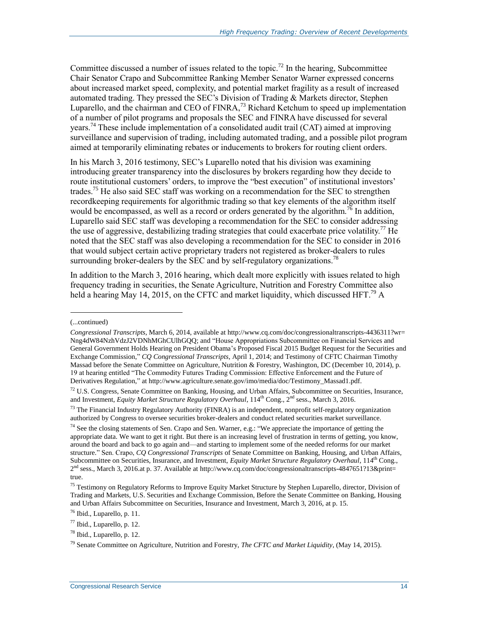Committee discussed a number of issues related to the topic.<sup>72</sup> In the hearing, Subcommittee Chair Senator Crapo and Subcommittee Ranking Member Senator Warner expressed concerns about increased market speed, complexity, and potential market fragility as a result of increased automated trading. They pressed the SEC's Division of Trading & Markets director, Stephen Luparello, and the chairman and CEO of FINRA,<sup>73</sup> Richard Ketchum to speed up implementation of a number of pilot programs and proposals the SEC and FINRA have discussed for several years.<sup>74</sup> These include implementation of a consolidated audit trail (CAT) aimed at improving surveillance and supervision of trading, including automated trading, and a possible pilot program aimed at temporarily eliminating rebates or inducements to brokers for routing client orders.

In his March 3, 2016 testimony, SEC's Luparello noted that his division was examining introducing greater transparency into the disclosures by brokers regarding how they decide to route institutional customers' orders, to improve the "best execution" of institutional investors' trades.<sup>75</sup> He also said SEC staff was working on a recommendation for the SEC to strengthen recordkeeping requirements for algorithmic trading so that key elements of the algorithm itself would be encompassed, as well as a record or orders generated by the algorithm.<sup>76</sup> In addition, Luparello said SEC staff was developing a recommendation for the SEC to consider addressing the use of aggressive, destabilizing trading strategies that could exacerbate price volatility.<sup>77</sup> He noted that the SEC staff was also developing a recommendation for the SEC to consider in 2016 that would subject certain active proprietary traders not registered as broker-dealers to rules surrounding broker-dealers by the SEC and by self-regulatory organizations.<sup>78</sup>

In addition to the March 3, 2016 hearing, which dealt more explicitly with issues related to high frequency trading in securities, the Senate Agriculture, Nutrition and Forestry Committee also held a hearing May 14, 2015, on the CFTC and market liquidity, which discussed HFT.<sup>79</sup> A

l

<sup>(...</sup>continued)

*Congressional Transcripts*, March 6, 2014, available at http://www.cq.com/doc/congressionaltranscripts-4436311?wr= Nng4dW84NzhVdzJ2VDNhMGhCUlhGQQ; and "House Appropriations Subcommittee on Financial Services and General Government Holds Hearing on President Obama's Proposed Fiscal 2015 Budget Request for the Securities and Exchange Commission," *CQ Congressional Transcripts*, April 1, 2014; and Testimony of CFTC Chairman Timothy Massad before the Senate Committee on Agriculture, Nutrition & Forestry, Washington, DC (December 10, 2014), p. 19 at hearing entitled "The Commodity Futures Trading Commission: Effective Enforcement and the Future of Derivatives Regulation," at http://www.agriculture.senate.gov/imo/media/doc/Testimony\_Massad1.pdf.

 $72$  U.S. Congress, Senate Committee on Banking, Housing, and Urban Affairs, Subcommittee on Securities, Insurance, and Investment, *Equity Market Structure Regulatory Overhaul*, 114<sup>th</sup> Cong., 2<sup>nd</sup> sess., March 3, 2016.

<sup>&</sup>lt;sup>73</sup> The Financial Industry Regulatory Authority (FINRA) is an independent, nonprofit self-regulatory organization authorized by Congress to oversee securities broker-dealers and conduct related securities market surveillance.

<sup>&</sup>lt;sup>74</sup> See the closing statements of Sen. Crapo and Sen. Warner, e.g.: "We appreciate the importance of getting the appropriate data. We want to get it right. But there is an increasing level of frustration in terms of getting, you know, around the board and back to go again and—and starting to implement some of the needed reforms for our market structure." Sen. Crapo, *CQ Congressional Transcripts* of Senate Committee on Banking, Housing, and Urban Affairs, Subcommittee on Securities, Insurance, and Investment, *Equity Market Structure Regulatory Overhaul*, 114th Cong., 2 nd sess., March 3, 2016.at p. 37. Available at http://www.cq.com/doc/congressionaltranscripts-4847651?13&print= true.

<sup>&</sup>lt;sup>75</sup> Testimony on Regulatory Reforms to Improve Equity Market Structure by Stephen Luparello, director, Division of Trading and Markets, U.S. Securities and Exchange Commission, Before the Senate Committee on Banking, Housing and Urban Affairs Subcommittee on Securities, Insurance and Investment, March 3, 2016, at p. 15.

<sup>76</sup> Ibid., Luparello, p. 11.

<sup>77</sup> Ibid., Luparello, p. 12.

<sup>78</sup> Ibid., Luparello, p. 12.

<sup>79</sup> Senate Committee on Agriculture, Nutrition and Forestry, *The CFTC and Market Liquidity*, (May 14, 2015).